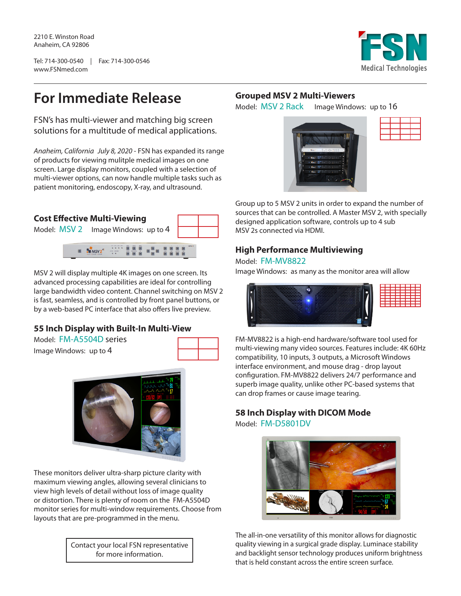2210 E. Winston Road Anaheim, CA 92806

Tel: 714-300-0540 | Fax: 714-300-0546 www.FSNmed.com



# **For Immediate Release**

FSN's has multi-viewer and matching big screen solutions for a multitude of medical applications.

*Anaheim, California July 8, 2020* - FSN has expanded its range of products for viewing mulitple medical images on one screen. Large display monitors, coupled with a selection of multi-viewer options, can now handle multiple tasks such as patient monitoring, endoscopy, X-ray, and ultrasound.

#### **Cost Effective Multi-Viewing**





MSV 2 will display multiple 4K images on one screen. Its advanced processing capabilities are ideal for controlling large bandwidth video content. Channel switching on MSV 2 is fast, seamless, and is controlled by front panel buttons, or by a web-based PC interface that also offers live preview.

## **55 Inch Display with Built-In Multi-View**

Model: FM-A5504D series Image Windows: up to 4





These monitors deliver ultra-sharp picture clarity with maximum viewing angles, allowing several clinicians to view high levels of detail without loss of image quality or distortion. There is plenty of room on the FM-A5504D monitor series for multi-window requirements. Choose from layouts that are pre-programmed in the menu.

> Contact your local FSN representative for more information.

#### **Grouped MSV 2 Multi-Viewers**

Model: MSV 2 Rack Image Windows: up to 16





Group up to 5 MSV 2 units in order to expand the number of sources that can be controlled. A Master MSV 2, with specially designed application software, controls up to 4 sub MSV 2s connected via HDMI.

### **High Performance Multiviewing**

#### Model: FM-MV8822

Image Windows: as many as the monitor area will allow



FM-MV8822 is a high-end hardware/software tool used for multi-viewing many video sources. Features include: 4K 60Hz compatibility, 10 inputs, 3 outputs, a Microsoft Windows interface environment, and mouse drag - drop layout configuration. FM-MV8822 delivers 24/7 performance and superb image quality, unlike other PC-based systems that can drop frames or cause image tearing.

## **58 Inch Display with DICOM Mode** Model: FM-D5801DV



The all-in-one versatility of this monitor allows for diagnostic quality viewing in a surgical grade display. Luminace stability and backlight sensor technology produces uniform brightness that is held constant across the entire screen surface.